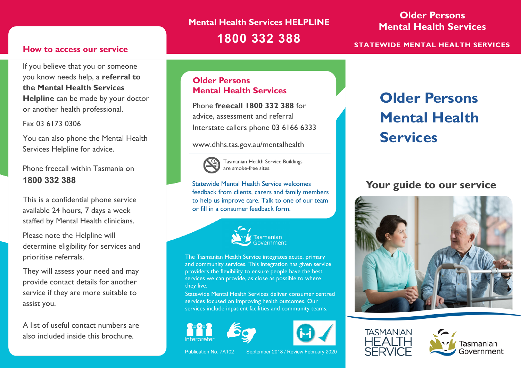## **Mental Health Services HELPLINE 1800 332 388**

### **Older Persons Mental Health Services**

**STATEWIDE MENTAL HEALTH SERVICES**

### **How to access our service**

If you believe that you or someone you know needs help, a **referral to the Mental Health Services Helpline** can be made by your doctor or another health professional.

### Fax 03 6173 0306

You can also phone the Mental Health Services Helpline for advice.

### Phone freecall within Tasmania on **1800 332 388**

This is a confidential phone service available 24 hours, 7 days a week staffed by Mental Health clinicians.

Please note the Helpline will determine eligibility for services and prioritise referrals.

They will assess your need and may provide contact details for another service if they are more suitable to assist you.

A list of useful contact numbers are also included inside this brochure.

### **Older Persons Mental Health Services**

Phone **freecall 1800 332 388** for advice, assessment and referral Interstate callers phone 03 6166 6333

#### www.dhhs.tas.gov.au/mentalhealth



Tasmanian Health Service Buildings are smoke-free sites.

Statewide Mental Health Service welcomes feedback from clients, carers and family members to help us improve care. Talk to one of our team or fill in a consumer feedback form.



The Tasmanian Health Service integrates acute, primary and community services. This integration has given service providers the flexibility to ensure people have the best services we can provide, as close as possible to where they live.

Statewide Mental Health Services deliver consumer centred services focused on improving health outcomes. Our services include inpatient facilities and community teams.







# **Older Persons Mental Health Services**

### **Your guide to our service**